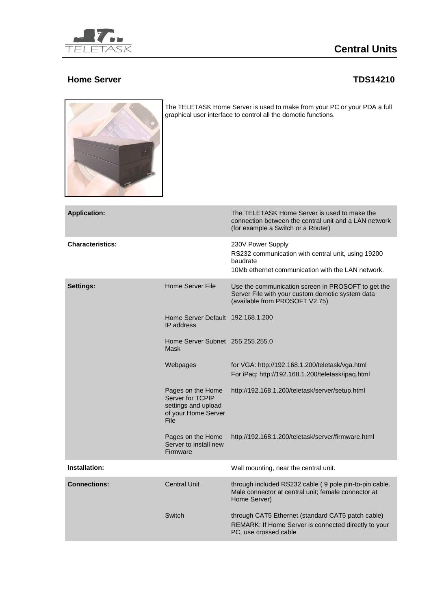

## **Central Units**

## **Home Server TDS14210**



The TELETASK Home Server is used to make from your PC or your PDA a full graphical user interface to control all the domotic functions.

|                                                                                             | The TELETASK Home Server is used to make the<br>connection between the central unit and a LAN network<br>(for example a Switch or a Router) |
|---------------------------------------------------------------------------------------------|---------------------------------------------------------------------------------------------------------------------------------------------|
|                                                                                             | 230V Power Supply<br>RS232 communication with central unit, using 19200<br>baudrate<br>10Mb ethernet communication with the LAN network.    |
| Home Server File                                                                            | Use the communication screen in PROSOFT to get the<br>Server File with your custom domotic system data<br>(available from PROSOFT V2.75)    |
| Home Server Default 192.168.1.200<br>IP address                                             |                                                                                                                                             |
| Home Server Subnet 255.255.255.0<br>Mask                                                    |                                                                                                                                             |
| Webpages                                                                                    | for VGA: http://192.168.1.200/teletask/vga.html<br>For iPaq: http://192.168.1.200/teletask/ipaq.html                                        |
| Pages on the Home<br>Server for TCPIP<br>settings and upload<br>of your Home Server<br>File | http://192.168.1.200/teletask/server/setup.html                                                                                             |
| Pages on the Home<br>Server to install new<br>Firmware                                      | http://192.168.1.200/teletask/server/firmware.html                                                                                          |
|                                                                                             | Wall mounting, near the central unit.                                                                                                       |
| Central Unit                                                                                | through included RS232 cable (9 pole pin-to-pin cable.<br>Male connector at central unit; female connector at<br>Home Server)               |
| Switch                                                                                      | through CAT5 Ethernet (standard CAT5 patch cable)<br>REMARK: If Home Server is connected directly to your<br>PC, use crossed cable          |
|                                                                                             |                                                                                                                                             |